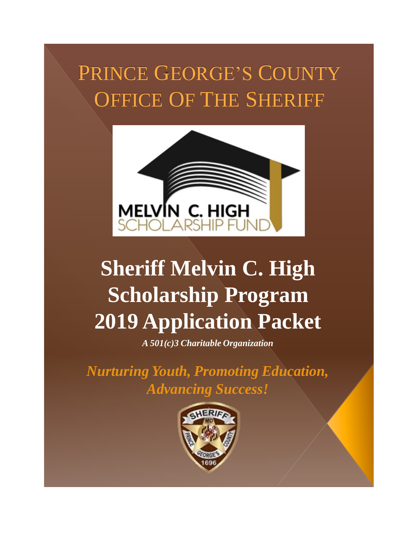# PRINCE GEORGE'S COUNTY OFFICE OF THE SHERIFF



# **Sheriff Melvin C. High Scholarship Program 2019 Application Packet**

*A 501(c)3 Charitable Organization*

*Nurturing Youth, Promoting Education, Advancing Success!* 

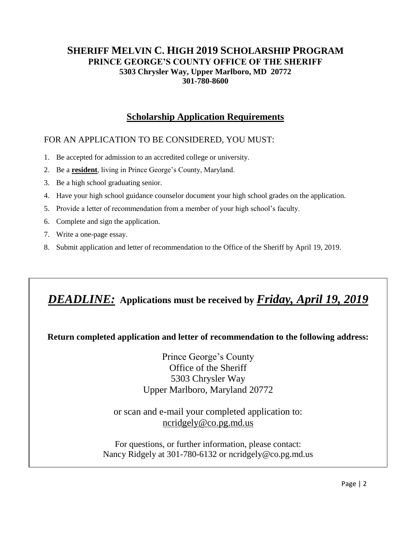# **Scholarship Application Requirements**

# FOR AN APPLICATION TO BE CONSIDERED, YOU MUST:

- 1. Be accepted for admission to an accredited college or university.
- 2. Be a **resident**, living in Prince George's County, Maryland.
- 3. Be a high school graduating senior.
- 4. Have your high school guidance counselor document your high school grades on the application.
- 5. Provide a letter of recommendation from a member of your high school's faculty.
- 6. Complete and sign the application.
- 7. Write a one-page essay.
- 8. Submit application and letter of recommendation to the Office of the Sheriff by April 19, 2019.

# *DEADLINE:* **Applications must be received by** *Friday, April 19, 2019*

# **Return completed application and letter of recommendation to the following address:**

Prince George's County Office of the Sheriff 5303 Chrysler Way Upper Marlboro, Maryland 20772

or scan and e-mail your completed application to: [ncridgely@co.pg.md.us](mailto:ncridgely@co.pg.md.us)

For questions, or further information, please contact: Nancy Ridgely at 301-780-6132 or ncridgely@co.pg.md.us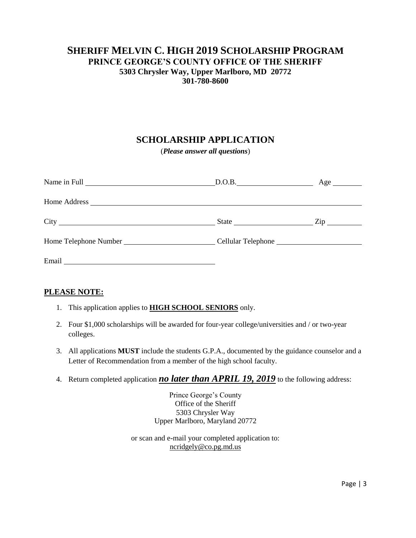# **SCHOLARSHIP APPLICATION**

(*Please answer all questions*)

| State <u>Zip</u> |  |
|------------------|--|
|                  |  |
|                  |  |

#### **PLEASE NOTE:**

- 1. This application applies to **HIGH SCHOOL SENIORS** only.
- 2. Four \$1,000 scholarships will be awarded for four-year college/universities and / or two-year colleges.
- 3. All applications **MUST** include the students G.P.A., documented by the guidance counselor and a Letter of Recommendation from a member of the high school faculty.
- 4. Return completed application *no later than APRIL 19, 2019* to the following address:

Prince George's County Office of the Sheriff 5303 Chrysler Way Upper Marlboro, Maryland 20772

or scan and e-mail your completed application to: [ncridgely@co.pg.md.us](mailto:ncridgely@co.pg.md.us)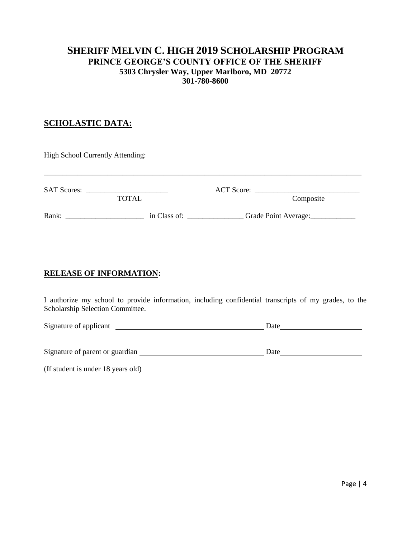### **SCHOLASTIC DATA:**

| High School Currently Attending: |                                                                                                                                      |                                   |
|----------------------------------|--------------------------------------------------------------------------------------------------------------------------------------|-----------------------------------|
| <b>SAT Scores:</b>               | <u> 1980 - Jan Samuel Barbara, prima a popular popular e popular de la propia de la propia de la propia de la pr</u><br><b>TOTAL</b> | Composite                         |
| Rank:                            | <u> 1980 - Jan Stein Harry Harry Harry Harry Harry Harry Harry Harry Harry Harry Harry Harry Harry Harry</u>                         | in Class of: Grade Point Average: |

#### **RELEASE OF INFORMATION:**

I authorize my school to provide information, including confidential transcripts of my grades, to the Scholarship Selection Committee.

| Signature of applicant          | Date |  |  |
|---------------------------------|------|--|--|
|                                 |      |  |  |
|                                 |      |  |  |
| Signature of parent or guardian | Date |  |  |

(If student is under 18 years old)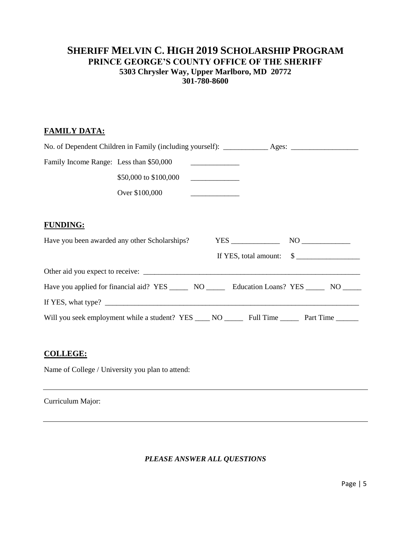#### **FAMILY DATA:**

| Family Income Range: Less than \$50,000 |                                                                                                          |                                                |  |
|-----------------------------------------|----------------------------------------------------------------------------------------------------------|------------------------------------------------|--|
|                                         | \$50,000 to \$100,000                                                                                    |                                                |  |
|                                         | Over \$100,000                                                                                           |                                                |  |
|                                         |                                                                                                          |                                                |  |
| <b>FUNDING:</b>                         |                                                                                                          |                                                |  |
|                                         | Have you been awarded any other Scholarships?                                                            |                                                |  |
|                                         |                                                                                                          | If YES, total amount: $\quad \quad \text{\AA}$ |  |
|                                         |                                                                                                          |                                                |  |
|                                         | Have you applied for financial aid? YES _________ NO __________ Education Loans? YES ________ NO         |                                                |  |
|                                         |                                                                                                          |                                                |  |
|                                         | Will you seek employment while a student? YES _____ NO ________ Full Time __________ Part Time _________ |                                                |  |
|                                         |                                                                                                          |                                                |  |

#### **COLLEGE:**

Name of College / University you plan to attend:

Curriculum Major:

*PLEASE ANSWER ALL QUESTIONS*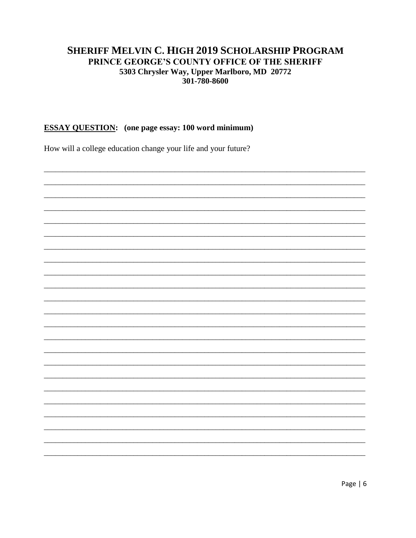#### **ESSAY QUESTION:** (one page essay: 100 word minimum)

How will a college education change your life and your future?

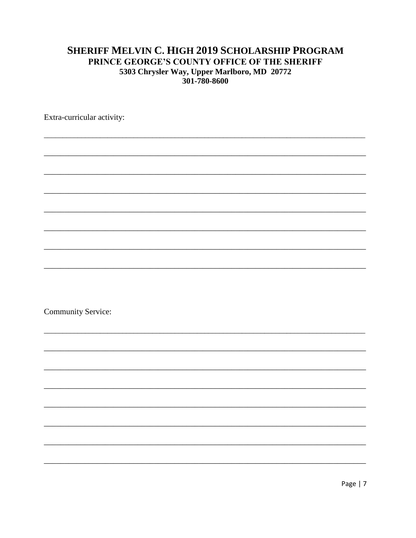Extra-curricular activity:

**Community Service:**